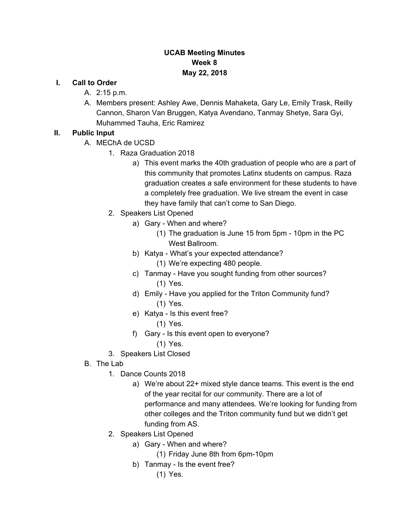## **UCAB Meeting Minutes Week 8 May 22, 2018**

#### **I. Call to Order**

- A. 2:15 p.m.
- A. Members present: Ashley Awe, Dennis Mahaketa, Gary Le, Emily Trask, Reilly Cannon, Sharon Van Bruggen, Katya Avendano, Tanmay Shetye, Sara Gyi, Muhammed Tauha, Eric Ramirez

### **II. Public Input**

- A. MEChA de UCSD
	- 1. Raza Graduation 2018
		- a) This event marks the 40th graduation of people who are a part of this community that promotes Latinx students on campus. Raza graduation creates a safe environment for these students to have a completely free graduation. We live stream the event in case they have family that can't come to San Diego.
	- 2. Speakers List Opened
		- a) Gary When and where?
			- (1) The graduation is June 15 from 5pm 10pm in the PC West Ballroom.
		- b) Katya What's your expected attendance?
			- (1) We're expecting 480 people.
		- c) Tanmay Have you sought funding from other sources? (1) Yes.
		- d) Emily Have you applied for the Triton Community fund? (1) Yes.
		- e) Katya Is this event free?
			- (1) Yes.
		- f) Gary Is this event open to everyone?
			- (1) Yes.
	- 3. Speakers List Closed
- B. The Lab
	- 1. Dance Counts 2018
		- a) We're about 22+ mixed style dance teams. This event is the end of the year recital for our community. There are a lot of performance and many attendees. We're looking for funding from other colleges and the Triton community fund but we didn't get funding from AS.
	- 2. Speakers List Opened
		- a) Gary When and where?
			- (1) Friday June 8th from 6pm-10pm
		- b) Tanmay Is the event free?
			- (1) Yes.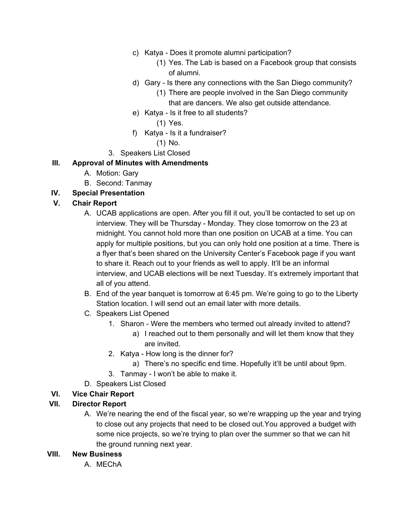- c) Katya Does it promote alumni participation?
	- (1) Yes. The Lab is based on a Facebook group that consists of alumni.
- d) Gary Is there any connections with the San Diego community?
	- (1) There are people involved in the San Diego community that are dancers. We also get outside attendance.
- e) Katya Is it free to all students?
	- (1) Yes.
- f) Katya Is it a fundraiser?
	- (1) No.
- 3. Speakers List Closed

## **III. Approval of Minutes with Amendments**

- A. Motion: Gary
- B. Second: Tanmay
- **IV. Special Presentation**

# **V. Chair Report**

- A. UCAB applications are open. After you fill it out, you'll be contacted to set up on interview. They will be Thursday - Monday. They close tomorrow on the 23 at midnight. You cannot hold more than one position on UCAB at a time. You can apply for multiple positions, but you can only hold one position at a time. There is a flyer that's been shared on the University Center's Facebook page if you want to share it. Reach out to your friends as well to apply. It'll be an informal interview, and UCAB elections will be next Tuesday. It's extremely important that all of you attend.
- B. End of the year banquet is tomorrow at 6:45 pm. We're going to go to the Liberty Station location. I will send out an email later with more details.
- C. Speakers List Opened
	- 1. Sharon Were the members who termed out already invited to attend?
		- a) I reached out to them personally and will let them know that they are invited.
	- 2. Katya How long is the dinner for?
		- a) There's no specific end time. Hopefully it'll be until about 9pm.
	- 3. Tanmay I won't be able to make it.
- D. Speakers List Closed

# **VI. Vice Chair Report**

# **VII. Director Report**

A. We're nearing the end of the fiscal year, so we're wrapping up the year and trying to close out any projects that need to be closed out.You approved a budget with some nice projects, so we're trying to plan over the summer so that we can hit the ground running next year.

#### **VIII. New Business**

A. MEChA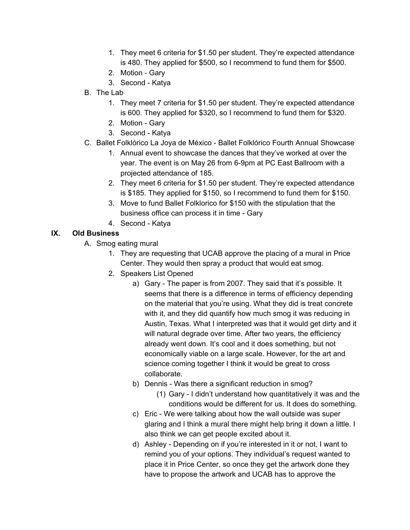- 1. They meet 6 criteria for \$1.50 per student. They're expected attendance is 480. They applied for \$500, so I recommend to fund them for \$500.
- 2. Motion Gary
- 3. Second Katya
- B. The Lab
	- 1. They meet 7 criteria for \$1.50 per student. They're expected attendance is 600. They applied for \$320, so I recommend to fund them for \$320.
	- 2. Motion Gary
	- 3. Second Katya
- C. Ballet Folklórico La Joya de México Ballet Folklórico Fourth Annual Showcase
	- 1. Annual event to showcase the dances that they've worked at over the year. The event is on May 26 from 6-9pm at PC East Ballroom with a projected attendance of 185.
	- 2. They meet 6 criteria for \$1.50 per student. They're expected attendance is \$185. They applied for \$150, so I recommend to fund them for \$150.
	- 3. Move to fund Ballet Folklorico for \$150 with the stipulation that the business office can process it in time - Gary
	- 4. Second Katya

# **IX. Old Business**

- A. Smog eating mural
	- 1. They are requesting that UCAB approve the placing of a mural in Price Center. They would then spray a product that would eat smog.
	- 2. Speakers List Opened
		- a) Gary The paper is from 2007. They said that it's possible. It seems that there is a difference in terms of efficiency depending on the material that you're using. What they did is treat concrete with it, and they did quantify how much smog it was reducing in Austin, Texas. What I interpreted was that it would get dirty and it will natural degrade over time. After two years, the efficiency already went down. It's cool and it does something, but not economically viable on a large scale. However, for the art and science coming together I think it would be great to cross collaborate.
		- b) Dennis Was there a significant reduction in smog?
			- (1) Gary I didn't understand how quantitatively it was and the conditions would be different for us. It does do something.
		- c) Eric We were talking about how the wall outside was super glaring and I think a mural there might help bring it down a little. I also think we can get people excited about it.
		- d) Ashley Depending on if you're interested in it or not, I want to remind you of your options. They individual's request wanted to place it in Price Center, so once they get the artwork done they have to propose the artwork and UCAB has to approve the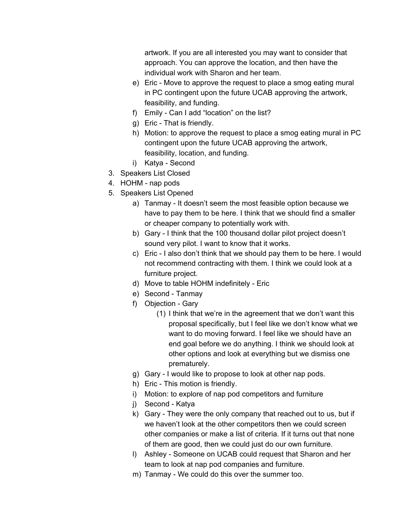artwork. If you are all interested you may want to consider that approach. You can approve the location, and then have the individual work with Sharon and her team.

- e) Eric Move to approve the request to place a smog eating mural in PC contingent upon the future UCAB approving the artwork, feasibility, and funding.
- f) Emily Can I add "location" on the list?
- g) Eric That is friendly.
- h) Motion: to approve the request to place a smog eating mural in PC contingent upon the future UCAB approving the artwork, feasibility, location, and funding.
- i) Katya Second
- 3. Speakers List Closed
- 4. HOHM nap pods
- 5. Speakers List Opened
	- a) Tanmay It doesn't seem the most feasible option because we have to pay them to be here. I think that we should find a smaller or cheaper company to potentially work with.
	- b) Gary I think that the 100 thousand dollar pilot project doesn't sound very pilot. I want to know that it works.
	- c) Eric I also don't think that we should pay them to be here. I would not recommend contracting with them. I think we could look at a furniture project.
	- d) Move to table HOHM indefinitely Eric
	- e) Second Tanmay
	- f) Objection Gary
		- (1) I think that we're in the agreement that we don't want this proposal specifically, but I feel like we don't know what we want to do moving forward. I feel like we should have an end goal before we do anything. I think we should look at other options and look at everything but we dismiss one prematurely.
	- g) Gary I would like to propose to look at other nap pods.
	- h) Eric This motion is friendly.
	- i) Motion: to explore of nap pod competitors and furniture
	- j) Second Katya
	- k) Gary They were the only company that reached out to us, but if we haven't look at the other competitors then we could screen other companies or make a list of criteria. If it turns out that none of them are good, then we could just do our own furniture.
	- l) Ashley Someone on UCAB could request that Sharon and her team to look at nap pod companies and furniture.
	- m) Tanmay We could do this over the summer too.